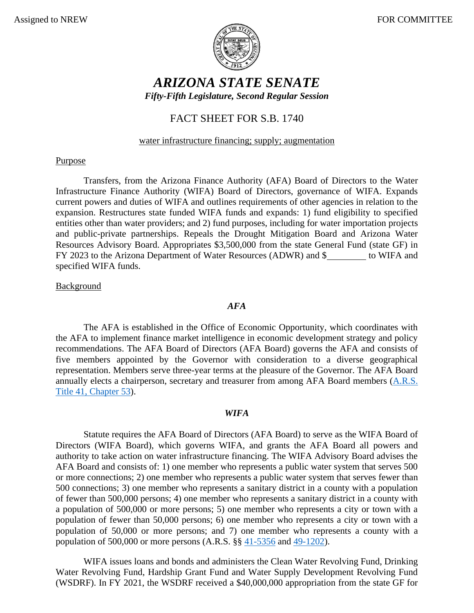

# *ARIZONA STATE SENATE*

*Fifty-Fifth Legislature, Second Regular Session*

# FACT SHEET FOR S.B. 1740

### water infrastructure financing; supply; augmentation

### **Purpose**

Transfers, from the Arizona Finance Authority (AFA) Board of Directors to the Water Infrastructure Finance Authority (WIFA) Board of Directors, governance of WIFA. Expands current powers and duties of WIFA and outlines requirements of other agencies in relation to the expansion. Restructures state funded WIFA funds and expands: 1) fund eligibility to specified entities other than water providers; and 2) fund purposes, including for water importation projects and public-private partnerships. Repeals the Drought Mitigation Board and Arizona Water Resources Advisory Board. Appropriates \$3,500,000 from the state General Fund (state GF) in FY 2023 to the Arizona Department of Water Resources (ADWR) and \$ to WIFA and specified WIFA funds.

### Background

#### *AFA*

The AFA is established in the Office of Economic Opportunity, which coordinates with the AFA to implement finance market intelligence in economic development strategy and policy recommendations. The AFA Board of Directors (AFA Board) governs the AFA and consists of five members appointed by the Governor with consideration to a diverse geographical representation. Members serve three-year terms at the pleasure of the Governor. The AFA Board annually elects a chairperson, secretary and treasurer from among AFA Board members [\(A.R.S.](https://www.azleg.gov/arsDetail/?title=41)  [Title 41, Chapter 53\)](https://www.azleg.gov/arsDetail/?title=41).

#### *WIFA*

Statute requires the AFA Board of Directors (AFA Board) to serve as the WIFA Board of Directors (WIFA Board), which governs WIFA, and grants the AFA Board all powers and authority to take action on water infrastructure financing. The WIFA Advisory Board advises the AFA Board and consists of: 1) one member who represents a public water system that serves 500 or more connections; 2) one member who represents a public water system that serves fewer than 500 connections; 3) one member who represents a sanitary district in a county with a population of fewer than 500,000 persons; 4) one member who represents a sanitary district in a county with a population of 500,000 or more persons; 5) one member who represents a city or town with a population of fewer than 50,000 persons; 6) one member who represents a city or town with a population of 50,000 or more persons; and 7) one member who represents a county with a population of 500,000 or more persons (A.R.S. §§ [41-5356](https://www.azleg.gov/viewdocument/?docName=https://www.azleg.gov/ars/41/05356.htm) and [49-1202\)](https://www.azleg.gov/viewdocument/?docName=https://www.azleg.gov/ars/49/01202.htm).

WIFA issues loans and bonds and administers the Clean Water Revolving Fund, Drinking Water Revolving Fund, Hardship Grant Fund and Water Supply Development Revolving Fund (WSDRF). In FY 2021, the WSDRF received a \$40,000,000 appropriation from the state GF for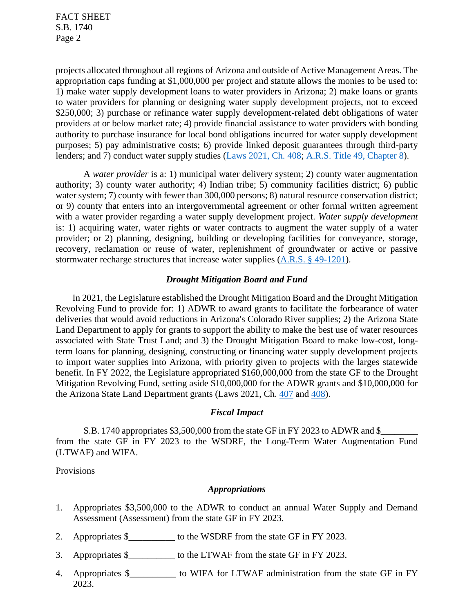projects allocated throughout all regions of Arizona and outside of Active Management Areas. The appropriation caps funding at \$1,000,000 per project and statute allows the monies to be used to: 1) make water supply development loans to water providers in Arizona; 2) make loans or grants to water providers for planning or designing water supply development projects, not to exceed \$250,000; 3) purchase or refinance water supply development-related debt obligations of water providers at or below market rate; 4) provide financial assistance to water providers with bonding authority to purchase insurance for local bond obligations incurred for water supply development purposes; 5) pay administrative costs; 6) provide linked deposit guarantees through third-party lenders; and 7) conduct water supply studies [\(Laws 2021, Ch. 408;](https://www.azleg.gov/legtext/55leg/1R/laws/0408.pdf) [A.R.S. Title 49, Chapter 8\)](https://www.azleg.gov/arsDetail/?title=49).

A *water provider* is a: 1) municipal water delivery system; 2) county water augmentation authority; 3) county water authority; 4) Indian tribe; 5) community facilities district; 6) public water system; 7) county with fewer than 300,000 persons; 8) natural resource conservation district; or 9) county that enters into an intergovernmental agreement or other formal written agreement with a water provider regarding a water supply development project. *Water supply development* is: 1) acquiring water, water rights or water contracts to augment the water supply of a water provider; or 2) planning, designing, building or developing facilities for conveyance, storage, recovery, reclamation or reuse of water, replenishment of groundwater or active or passive stormwater recharge structures that increase water supplies [\(A.R.S. § 49-1201\)](https://www.azleg.gov/viewdocument/?docName=https://www.azleg.gov/ars/49/01201.htm).

#### *Drought Mitigation Board and Fund*

In 2021, the Legislature established the Drought Mitigation Board and the Drought Mitigation Revolving Fund to provide for: 1) ADWR to award grants to facilitate the forbearance of water deliveries that would avoid reductions in Arizona's Colorado River supplies; 2) the Arizona State Land Department to apply for grants to support the ability to make the best use of water resources associated with State Trust Land; and 3) the Drought Mitigation Board to make low-cost, longterm loans for planning, designing, constructing or financing water supply development projects to import water supplies into Arizona, with priority given to projects with the larges statewide benefit. In FY 2022, the Legislature appropriated \$160,000,000 from the state GF to the Drought Mitigation Revolving Fund, setting aside \$10,000,000 for the ADWR grants and \$10,000,000 for the Arizona State Land Department grants (Laws 2021, Ch. [407](https://www.azleg.gov/legtext/55leg/1R/laws/0407.pdf) and [408\)](https://www.azleg.gov/legtext/55leg/1R/laws/0408.pdf).

#### *Fiscal Impact*

S.B. 1740 appropriates \$3,500,000 from the state GF in FY 2023 to ADWR and \$ from the state GF in FY 2023 to the WSDRF, the Long-Term Water Augmentation Fund (LTWAF) and WIFA.

Provisions

## *Appropriations*

- 1. Appropriates \$3,500,000 to the ADWR to conduct an annual Water Supply and Demand Assessment (Assessment) from the state GF in FY 2023.
- 2. Appropriates \$\_\_\_\_\_\_\_\_\_\_\_\_ to the WSDRF from the state GF in FY 2023.
- 3. Appropriates \$ to the LTWAF from the state GF in FY 2023.
- 4. Appropriates \$\_\_\_\_\_\_\_\_\_\_ to WIFA for LTWAF administration from the state GF in FY 2023.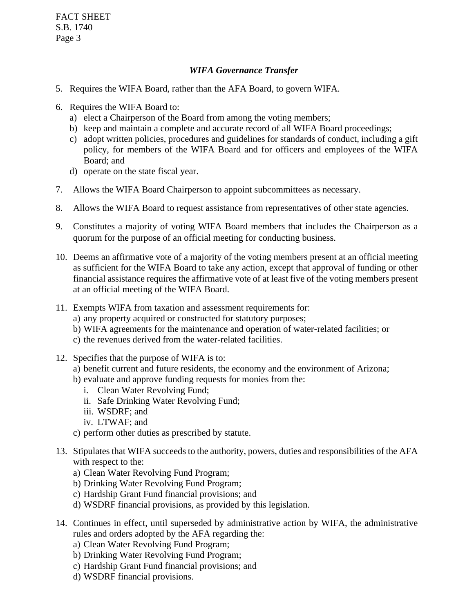### *WIFA Governance Transfer*

- 5. Requires the WIFA Board, rather than the AFA Board, to govern WIFA.
- 6. Requires the WIFA Board to:
	- a) elect a Chairperson of the Board from among the voting members;
	- b) keep and maintain a complete and accurate record of all WIFA Board proceedings;
	- c) adopt written policies, procedures and guidelines for standards of conduct, including a gift policy, for members of the WIFA Board and for officers and employees of the WIFA Board; and
	- d) operate on the state fiscal year.
- 7. Allows the WIFA Board Chairperson to appoint subcommittees as necessary.
- 8. Allows the WIFA Board to request assistance from representatives of other state agencies.
- 9. Constitutes a majority of voting WIFA Board members that includes the Chairperson as a quorum for the purpose of an official meeting for conducting business.
- 10. Deems an affirmative vote of a majority of the voting members present at an official meeting as sufficient for the WIFA Board to take any action, except that approval of funding or other financial assistance requires the affirmative vote of at least five of the voting members present at an official meeting of the WIFA Board.
- 11. Exempts WIFA from taxation and assessment requirements for:
	- a) any property acquired or constructed for statutory purposes;
	- b) WIFA agreements for the maintenance and operation of water-related facilities; or
	- c) the revenues derived from the water-related facilities.
- 12. Specifies that the purpose of WIFA is to:
	- a) benefit current and future residents, the economy and the environment of Arizona;
	- b) evaluate and approve funding requests for monies from the:
		- i. Clean Water Revolving Fund;
		- ii. Safe Drinking Water Revolving Fund;
		- iii. WSDRF; and
		- iv. LTWAF; and
	- c) perform other duties as prescribed by statute.
- 13. Stipulates that WIFA succeeds to the authority, powers, duties and responsibilities of the AFA with respect to the:
	- a) Clean Water Revolving Fund Program;
	- b) Drinking Water Revolving Fund Program;
	- c) Hardship Grant Fund financial provisions; and
	- d) WSDRF financial provisions, as provided by this legislation.
- 14. Continues in effect, until superseded by administrative action by WIFA, the administrative rules and orders adopted by the AFA regarding the:
	- a) Clean Water Revolving Fund Program;
	- b) Drinking Water Revolving Fund Program;
	- c) Hardship Grant Fund financial provisions; and
	- d) WSDRF financial provisions.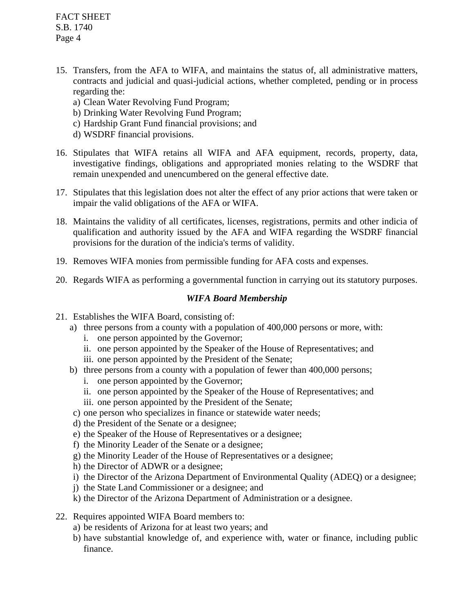- 15. Transfers, from the AFA to WIFA, and maintains the status of, all administrative matters, contracts and judicial and quasi-judicial actions, whether completed, pending or in process regarding the:
	- a) Clean Water Revolving Fund Program;
	- b) Drinking Water Revolving Fund Program;
	- c) Hardship Grant Fund financial provisions; and
	- d) WSDRF financial provisions.
- 16. Stipulates that WIFA retains all WIFA and AFA equipment, records, property, data, investigative findings, obligations and appropriated monies relating to the WSDRF that remain unexpended and unencumbered on the general effective date.
- 17. Stipulates that this legislation does not alter the effect of any prior actions that were taken or impair the valid obligations of the AFA or WIFA.
- 18. Maintains the validity of all certificates, licenses, registrations, permits and other indicia of qualification and authority issued by the AFA and WIFA regarding the WSDRF financial provisions for the duration of the indicia's terms of validity.
- 19. Removes WIFA monies from permissible funding for AFA costs and expenses.
- 20. Regards WIFA as performing a governmental function in carrying out its statutory purposes.

# *WIFA Board Membership*

- 21. Establishes the WIFA Board, consisting of:
	- a) three persons from a county with a population of 400,000 persons or more, with:
		- i. one person appointed by the Governor;
		- ii. one person appointed by the Speaker of the House of Representatives; and
		- iii. one person appointed by the President of the Senate;
	- b) three persons from a county with a population of fewer than 400,000 persons;
		- i. one person appointed by the Governor;
		- ii. one person appointed by the Speaker of the House of Representatives; and
		- iii. one person appointed by the President of the Senate;
	- c) one person who specializes in finance or statewide water needs;
	- d) the President of the Senate or a designee;
	- e) the Speaker of the House of Representatives or a designee;
	- f) the Minority Leader of the Senate or a designee;
	- g) the Minority Leader of the House of Representatives or a designee;
	- h) the Director of ADWR or a designee;
	- i) the Director of the Arizona Department of Environmental Quality (ADEQ) or a designee;
	- j) the State Land Commissioner or a designee; and
	- k) the Director of the Arizona Department of Administration or a designee.
- 22. Requires appointed WIFA Board members to:
	- a) be residents of Arizona for at least two years; and
	- b) have substantial knowledge of, and experience with, water or finance, including public finance.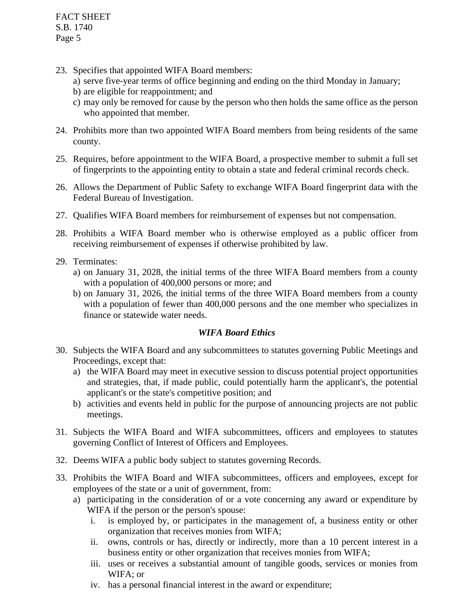- 23. Specifies that appointed WIFA Board members:
	- a) serve five-year terms of office beginning and ending on the third Monday in January;
	- b) are eligible for reappointment; and
	- c) may only be removed for cause by the person who then holds the same office as the person who appointed that member.
- 24. Prohibits more than two appointed WIFA Board members from being residents of the same county.
- 25. Requires, before appointment to the WIFA Board, a prospective member to submit a full set of fingerprints to the appointing entity to obtain a state and federal criminal records check.
- 26. Allows the Department of Public Safety to exchange WIFA Board fingerprint data with the Federal Bureau of Investigation.
- 27. Qualifies WIFA Board members for reimbursement of expenses but not compensation.
- 28. Prohibits a WIFA Board member who is otherwise employed as a public officer from receiving reimbursement of expenses if otherwise prohibited by law.
- 29. Terminates:
	- a) on January 31, 2028, the initial terms of the three WIFA Board members from a county with a population of 400,000 persons or more; and
	- b) on January 31, 2026, the initial terms of the three WIFA Board members from a county with a population of fewer than 400,000 persons and the one member who specializes in finance or statewide water needs.

# *WIFA Board Ethics*

- 30. Subjects the WIFA Board and any subcommittees to statutes governing Public Meetings and Proceedings, except that:
	- a) the WIFA Board may meet in executive session to discuss potential project opportunities and strategies, that, if made public, could potentially harm the applicant's, the potential applicant's or the state's competitive position; and
	- b) activities and events held in public for the purpose of announcing projects are not public meetings.
- 31. Subjects the WIFA Board and WIFA subcommittees, officers and employees to statutes governing Conflict of Interest of Officers and Employees.
- 32. Deems WIFA a public body subject to statutes governing Records.
- 33. Prohibits the WIFA Board and WIFA subcommittees, officers and employees, except for employees of the state or a unit of government, from:
	- a) participating in the consideration of or a vote concerning any award or expenditure by WIFA if the person or the person's spouse:
		- i. is employed by, or participates in the management of, a business entity or other organization that receives monies from WIFA;
		- ii. owns, controls or has, directly or indirectly, more than a 10 percent interest in a business entity or other organization that receives monies from WIFA;
		- iii. uses or receives a substantial amount of tangible goods, services or monies from WIFA; or
		- iv. has a personal financial interest in the award or expenditure;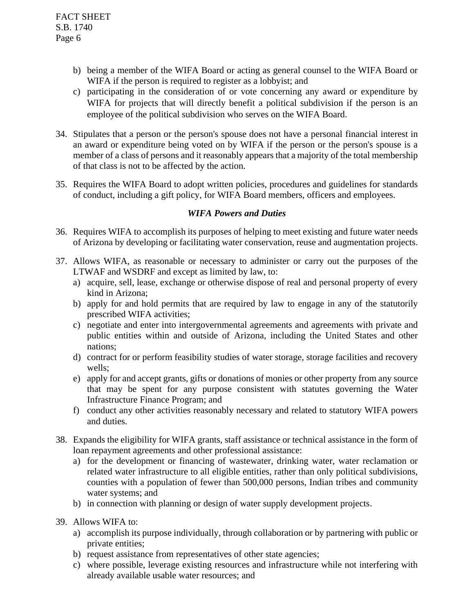- b) being a member of the WIFA Board or acting as general counsel to the WIFA Board or WIFA if the person is required to register as a lobbyist; and
- c) participating in the consideration of or vote concerning any award or expenditure by WIFA for projects that will directly benefit a political subdivision if the person is an employee of the political subdivision who serves on the WIFA Board.
- 34. Stipulates that a person or the person's spouse does not have a personal financial interest in an award or expenditure being voted on by WIFA if the person or the person's spouse is a member of a class of persons and it reasonably appears that a majority of the total membership of that class is not to be affected by the action.
- 35. Requires the WIFA Board to adopt written policies, procedures and guidelines for standards of conduct, including a gift policy, for WIFA Board members, officers and employees.

### *WIFA Powers and Duties*

- 36. Requires WIFA to accomplish its purposes of helping to meet existing and future water needs of Arizona by developing or facilitating water conservation, reuse and augmentation projects.
- 37. Allows WIFA, as reasonable or necessary to administer or carry out the purposes of the LTWAF and WSDRF and except as limited by law, to:
	- a) acquire, sell, lease, exchange or otherwise dispose of real and personal property of every kind in Arizona;
	- b) apply for and hold permits that are required by law to engage in any of the statutorily prescribed WIFA activities;
	- c) negotiate and enter into intergovernmental agreements and agreements with private and public entities within and outside of Arizona, including the United States and other nations;
	- d) contract for or perform feasibility studies of water storage, storage facilities and recovery wells;
	- e) apply for and accept grants, gifts or donations of monies or other property from any source that may be spent for any purpose consistent with statutes governing the Water Infrastructure Finance Program; and
	- f) conduct any other activities reasonably necessary and related to statutory WIFA powers and duties.
- 38. Expands the eligibility for WIFA grants, staff assistance or technical assistance in the form of loan repayment agreements and other professional assistance:
	- a) for the development or financing of wastewater, drinking water, water reclamation or related water infrastructure to all eligible entities, rather than only political subdivisions, counties with a population of fewer than 500,000 persons, Indian tribes and community water systems; and
	- b) in connection with planning or design of water supply development projects.
- 39. Allows WIFA to:
	- a) accomplish its purpose individually, through collaboration or by partnering with public or private entities;
	- b) request assistance from representatives of other state agencies;
	- c) where possible, leverage existing resources and infrastructure while not interfering with already available usable water resources; and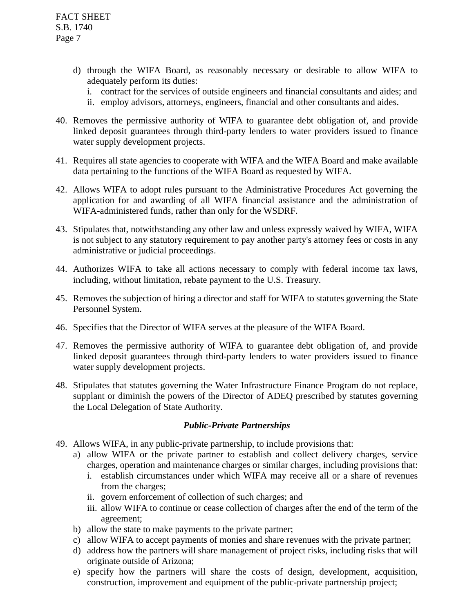- d) through the WIFA Board, as reasonably necessary or desirable to allow WIFA to adequately perform its duties:
	- i. contract for the services of outside engineers and financial consultants and aides; and
	- ii. employ advisors, attorneys, engineers, financial and other consultants and aides.
- 40. Removes the permissive authority of WIFA to guarantee debt obligation of, and provide linked deposit guarantees through third-party lenders to water providers issued to finance water supply development projects.
- 41. Requires all state agencies to cooperate with WIFA and the WIFA Board and make available data pertaining to the functions of the WIFA Board as requested by WIFA.
- 42. Allows WIFA to adopt rules pursuant to the Administrative Procedures Act governing the application for and awarding of all WIFA financial assistance and the administration of WIFA-administered funds, rather than only for the WSDRF.
- 43. Stipulates that, notwithstanding any other law and unless expressly waived by WIFA, WIFA is not subject to any statutory requirement to pay another party's attorney fees or costs in any administrative or judicial proceedings.
- 44. Authorizes WIFA to take all actions necessary to comply with federal income tax laws, including, without limitation, rebate payment to the U.S. Treasury.
- 45. Removes the subjection of hiring a director and staff for WIFA to statutes governing the State Personnel System.
- 46. Specifies that the Director of WIFA serves at the pleasure of the WIFA Board.
- 47. Removes the permissive authority of WIFA to guarantee debt obligation of, and provide linked deposit guarantees through third-party lenders to water providers issued to finance water supply development projects.
- 48. Stipulates that statutes governing the Water Infrastructure Finance Program do not replace, supplant or diminish the powers of the Director of ADEQ prescribed by statutes governing the Local Delegation of State Authority.

#### *Public-Private Partnerships*

- 49. Allows WIFA, in any public-private partnership, to include provisions that:
	- a) allow WIFA or the private partner to establish and collect delivery charges, service charges, operation and maintenance charges or similar charges, including provisions that:
		- i. establish circumstances under which WIFA may receive all or a share of revenues from the charges;
		- ii. govern enforcement of collection of such charges; and
		- iii. allow WIFA to continue or cease collection of charges after the end of the term of the agreement;
	- b) allow the state to make payments to the private partner;
	- c) allow WIFA to accept payments of monies and share revenues with the private partner;
	- d) address how the partners will share management of project risks, including risks that will originate outside of Arizona;
	- e) specify how the partners will share the costs of design, development, acquisition, construction, improvement and equipment of the public-private partnership project;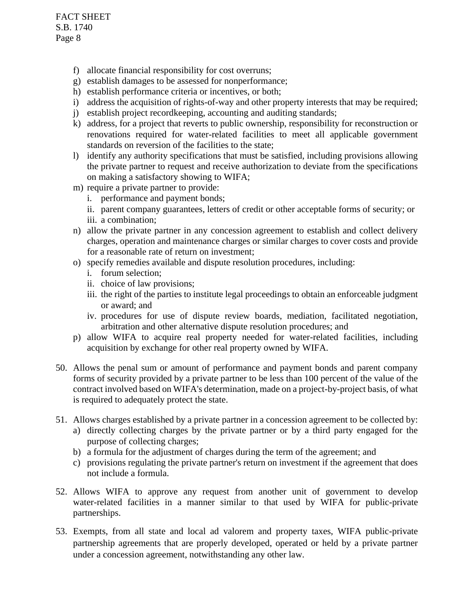- f) allocate financial responsibility for cost overruns;
- g) establish damages to be assessed for nonperformance;
- h) establish performance criteria or incentives, or both;
- i) address the acquisition of rights-of-way and other property interests that may be required;
- j) establish project recordkeeping, accounting and auditing standards;
- k) address, for a project that reverts to public ownership, responsibility for reconstruction or renovations required for water-related facilities to meet all applicable government standards on reversion of the facilities to the state;
- l) identify any authority specifications that must be satisfied, including provisions allowing the private partner to request and receive authorization to deviate from the specifications on making a satisfactory showing to WIFA;
- m) require a private partner to provide:
	- i. performance and payment bonds;
	- ii. parent company guarantees, letters of credit or other acceptable forms of security; or iii. a combination;
- n) allow the private partner in any concession agreement to establish and collect delivery charges, operation and maintenance charges or similar charges to cover costs and provide for a reasonable rate of return on investment;
- o) specify remedies available and dispute resolution procedures, including:
	- i. forum selection;
	- ii. choice of law provisions;
	- iii. the right of the parties to institute legal proceedings to obtain an enforceable judgment or award; and
	- iv. procedures for use of dispute review boards, mediation, facilitated negotiation, arbitration and other alternative dispute resolution procedures; and
- p) allow WIFA to acquire real property needed for water-related facilities, including acquisition by exchange for other real property owned by WIFA.
- 50. Allows the penal sum or amount of performance and payment bonds and parent company forms of security provided by a private partner to be less than 100 percent of the value of the contract involved based on WIFA's determination, made on a project-by-project basis, of what is required to adequately protect the state.
- 51. Allows charges established by a private partner in a concession agreement to be collected by:
	- a) directly collecting charges by the private partner or by a third party engaged for the purpose of collecting charges;
	- b) a formula for the adjustment of charges during the term of the agreement; and
	- c) provisions regulating the private partner's return on investment if the agreement that does not include a formula.
- 52. Allows WIFA to approve any request from another unit of government to develop water-related facilities in a manner similar to that used by WIFA for public-private partnerships.
- 53. Exempts, from all state and local ad valorem and property taxes, WIFA public-private partnership agreements that are properly developed, operated or held by a private partner under a concession agreement, notwithstanding any other law.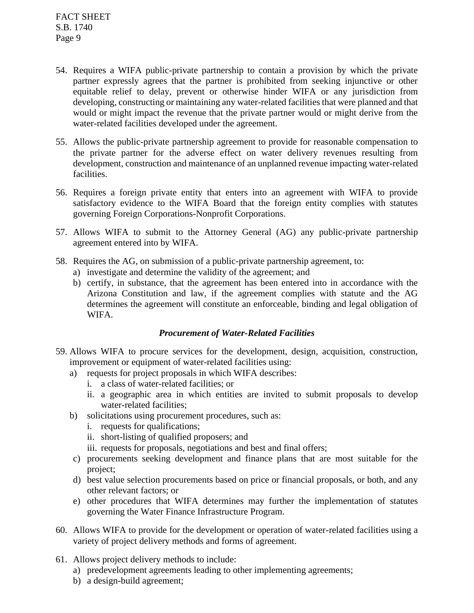- 54. Requires a WIFA public-private partnership to contain a provision by which the private partner expressly agrees that the partner is prohibited from seeking injunctive or other equitable relief to delay, prevent or otherwise hinder WIFA or any jurisdiction from developing, constructing or maintaining any water-related facilities that were planned and that would or might impact the revenue that the private partner would or might derive from the water-related facilities developed under the agreement.
- 55. Allows the public-private partnership agreement to provide for reasonable compensation to the private partner for the adverse effect on water delivery revenues resulting from development, construction and maintenance of an unplanned revenue impacting water-related facilities.
- 56. Requires a foreign private entity that enters into an agreement with WIFA to provide satisfactory evidence to the WIFA Board that the foreign entity complies with statutes governing Foreign Corporations-Nonprofit Corporations.
- 57. Allows WIFA to submit to the Attorney General (AG) any public-private partnership agreement entered into by WIFA.
- 58. Requires the AG, on submission of a public-private partnership agreement, to:
	- a) investigate and determine the validity of the agreement; and
	- b) certify, in substance, that the agreement has been entered into in accordance with the Arizona Constitution and law, if the agreement complies with statute and the AG determines the agreement will constitute an enforceable, binding and legal obligation of WIFA.

#### *Procurement of Water-Related Facilities*

- 59. Allows WIFA to procure services for the development, design, acquisition, construction, improvement or equipment of water-related facilities using:
	- a) requests for project proposals in which WIFA describes:
		- i. a class of water-related facilities; or
		- ii. a geographic area in which entities are invited to submit proposals to develop water-related facilities;
	- b) solicitations using procurement procedures, such as:
		- i. requests for qualifications;
		- ii. short-listing of qualified proposers; and
		- iii. requests for proposals, negotiations and best and final offers;
	- c) procurements seeking development and finance plans that are most suitable for the project;
	- d) best value selection procurements based on price or financial proposals, or both, and any other relevant factors; or
	- e) other procedures that WIFA determines may further the implementation of statutes governing the Water Finance Infrastructure Program.
- 60. Allows WIFA to provide for the development or operation of water-related facilities using a variety of project delivery methods and forms of agreement.
- 61. Allows project delivery methods to include:
	- a) predevelopment agreements leading to other implementing agreements;
	- b) a design-build agreement;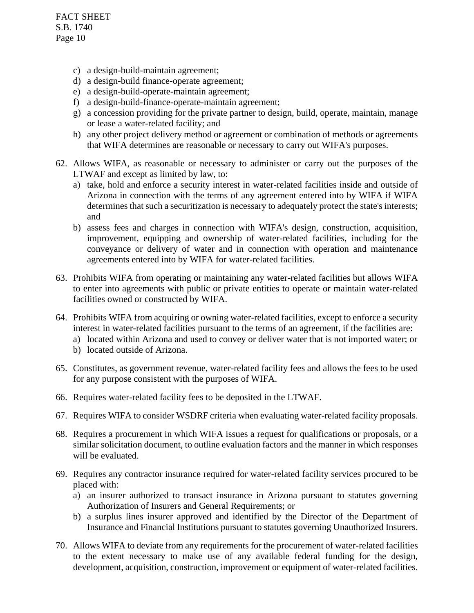- c) a design-build-maintain agreement;
- d) a design-build finance-operate agreement;
- e) a design-build-operate-maintain agreement;
- f) a design-build-finance-operate-maintain agreement;
- g) a concession providing for the private partner to design, build, operate, maintain, manage or lease a water-related facility; and
- h) any other project delivery method or agreement or combination of methods or agreements that WIFA determines are reasonable or necessary to carry out WIFA's purposes.
- 62. Allows WIFA, as reasonable or necessary to administer or carry out the purposes of the LTWAF and except as limited by law, to:
	- a) take, hold and enforce a security interest in water-related facilities inside and outside of Arizona in connection with the terms of any agreement entered into by WIFA if WIFA determines that such a securitization is necessary to adequately protect the state's interests; and
	- b) assess fees and charges in connection with WIFA's design, construction, acquisition, improvement, equipping and ownership of water-related facilities, including for the conveyance or delivery of water and in connection with operation and maintenance agreements entered into by WIFA for water-related facilities.
- 63. Prohibits WIFA from operating or maintaining any water-related facilities but allows WIFA to enter into agreements with public or private entities to operate or maintain water-related facilities owned or constructed by WIFA.
- 64. Prohibits WIFA from acquiring or owning water-related facilities, except to enforce a security interest in water-related facilities pursuant to the terms of an agreement, if the facilities are:
	- a) located within Arizona and used to convey or deliver water that is not imported water; or
	- b) located outside of Arizona.
- 65. Constitutes, as government revenue, water-related facility fees and allows the fees to be used for any purpose consistent with the purposes of WIFA.
- 66. Requires water-related facility fees to be deposited in the LTWAF.
- 67. Requires WIFA to consider WSDRF criteria when evaluating water-related facility proposals.
- 68. Requires a procurement in which WIFA issues a request for qualifications or proposals, or a similar solicitation document, to outline evaluation factors and the manner in which responses will be evaluated.
- 69. Requires any contractor insurance required for water-related facility services procured to be placed with:
	- a) an insurer authorized to transact insurance in Arizona pursuant to statutes governing Authorization of Insurers and General Requirements; or
	- b) a surplus lines insurer approved and identified by the Director of the Department of Insurance and Financial Institutions pursuant to statutes governing Unauthorized Insurers.
- 70. Allows WIFA to deviate from any requirements for the procurement of water-related facilities to the extent necessary to make use of any available federal funding for the design, development, acquisition, construction, improvement or equipment of water-related facilities.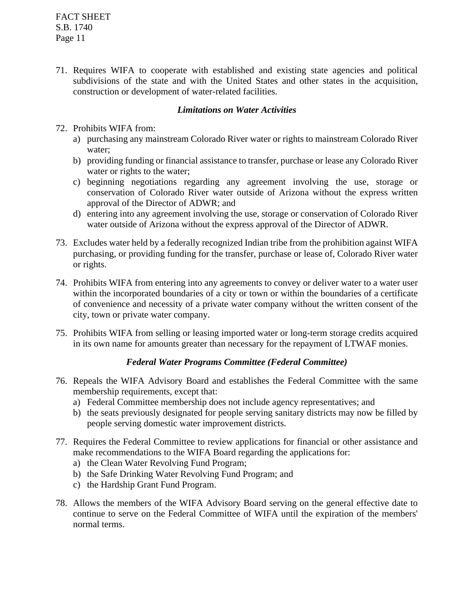71. Requires WIFA to cooperate with established and existing state agencies and political subdivisions of the state and with the United States and other states in the acquisition, construction or development of water-related facilities.

### *Limitations on Water Activities*

- 72. Prohibits WIFA from:
	- a) purchasing any mainstream Colorado River water or rights to mainstream Colorado River water;
	- b) providing funding or financial assistance to transfer, purchase or lease any Colorado River water or rights to the water:
	- c) beginning negotiations regarding any agreement involving the use, storage or conservation of Colorado River water outside of Arizona without the express written approval of the Director of ADWR; and
	- d) entering into any agreement involving the use, storage or conservation of Colorado River water outside of Arizona without the express approval of the Director of ADWR.
- 73. Excludes water held by a federally recognized Indian tribe from the prohibition against WIFA purchasing, or providing funding for the transfer, purchase or lease of, Colorado River water or rights.
- 74. Prohibits WIFA from entering into any agreements to convey or deliver water to a water user within the incorporated boundaries of a city or town or within the boundaries of a certificate of convenience and necessity of a private water company without the written consent of the city, town or private water company.
- 75. Prohibits WIFA from selling or leasing imported water or long-term storage credits acquired in its own name for amounts greater than necessary for the repayment of LTWAF monies.

# *Federal Water Programs Committee (Federal Committee)*

- 76. Repeals the WIFA Advisory Board and establishes the Federal Committee with the same membership requirements, except that:
	- a) Federal Committee membership does not include agency representatives; and
	- b) the seats previously designated for people serving sanitary districts may now be filled by people serving domestic water improvement districts.
- 77. Requires the Federal Committee to review applications for financial or other assistance and make recommendations to the WIFA Board regarding the applications for:
	- a) the Clean Water Revolving Fund Program;
	- b) the Safe Drinking Water Revolving Fund Program; and
	- c) the Hardship Grant Fund Program.
- 78. Allows the members of the WIFA Advisory Board serving on the general effective date to continue to serve on the Federal Committee of WIFA until the expiration of the members' normal terms.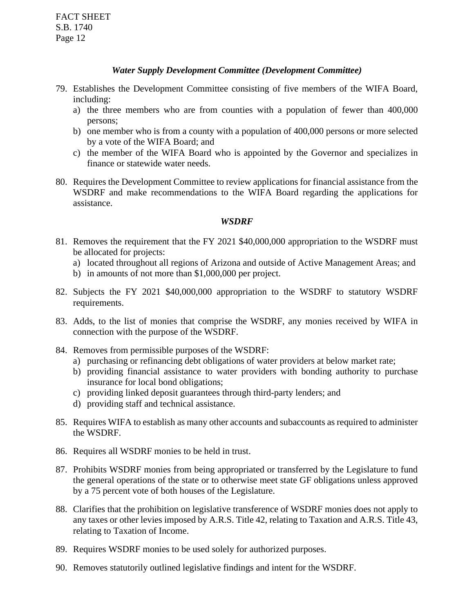#### *Water Supply Development Committee (Development Committee)*

- 79. Establishes the Development Committee consisting of five members of the WIFA Board, including:
	- a) the three members who are from counties with a population of fewer than 400,000 persons;
	- b) one member who is from a county with a population of 400,000 persons or more selected by a vote of the WIFA Board; and
	- c) the member of the WIFA Board who is appointed by the Governor and specializes in finance or statewide water needs.
- 80. Requires the Development Committee to review applications for financial assistance from the WSDRF and make recommendations to the WIFA Board regarding the applications for assistance.

#### *WSDRF*

- 81. Removes the requirement that the FY 2021 \$40,000,000 appropriation to the WSDRF must be allocated for projects:
	- a) located throughout all regions of Arizona and outside of Active Management Areas; and
	- b) in amounts of not more than \$1,000,000 per project.
- 82. Subjects the FY 2021 \$40,000,000 appropriation to the WSDRF to statutory WSDRF requirements.
- 83. Adds, to the list of monies that comprise the WSDRF, any monies received by WIFA in connection with the purpose of the WSDRF.
- 84. Removes from permissible purposes of the WSDRF:
	- a) purchasing or refinancing debt obligations of water providers at below market rate;
	- b) providing financial assistance to water providers with bonding authority to purchase insurance for local bond obligations;
	- c) providing linked deposit guarantees through third-party lenders; and
	- d) providing staff and technical assistance.
- 85. Requires WIFA to establish as many other accounts and subaccounts as required to administer the WSDRF.
- 86. Requires all WSDRF monies to be held in trust.
- 87. Prohibits WSDRF monies from being appropriated or transferred by the Legislature to fund the general operations of the state or to otherwise meet state GF obligations unless approved by a 75 percent vote of both houses of the Legislature.
- 88. Clarifies that the prohibition on legislative transference of WSDRF monies does not apply to any taxes or other levies imposed by A.R.S. Title 42, relating to Taxation and A.R.S. Title 43, relating to Taxation of Income.
- 89. Requires WSDRF monies to be used solely for authorized purposes.
- 90. Removes statutorily outlined legislative findings and intent for the WSDRF.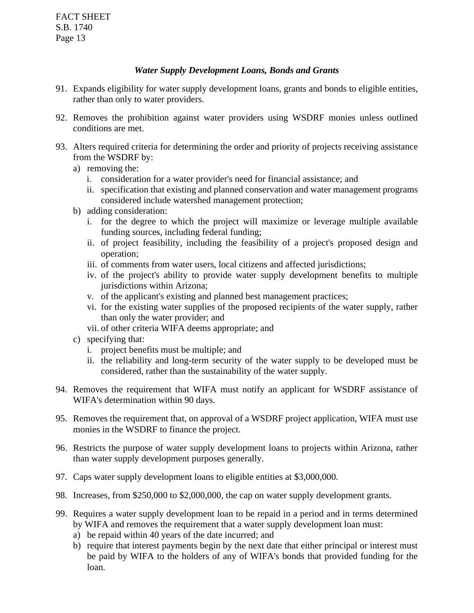# *Water Supply Development Loans, Bonds and Grants*

- 91. Expands eligibility for water supply development loans, grants and bonds to eligible entities, rather than only to water providers.
- 92. Removes the prohibition against water providers using WSDRF monies unless outlined conditions are met.
- 93. Alters required criteria for determining the order and priority of projects receiving assistance from the WSDRF by:
	- a) removing the:
		- i. consideration for a water provider's need for financial assistance; and
		- ii. specification that existing and planned conservation and water management programs considered include watershed management protection;
	- b) adding consideration:
		- i. for the degree to which the project will maximize or leverage multiple available funding sources, including federal funding;
		- ii. of project feasibility, including the feasibility of a project's proposed design and operation;
		- iii. of comments from water users, local citizens and affected jurisdictions;
		- iv. of the project's ability to provide water supply development benefits to multiple jurisdictions within Arizona;
		- v. of the applicant's existing and planned best management practices;
		- vi. for the existing water supplies of the proposed recipients of the water supply, rather than only the water provider; and
		- vii. of other criteria WIFA deems appropriate; and
	- c) specifying that:
		- i. project benefits must be multiple; and
		- ii. the reliability and long-term security of the water supply to be developed must be considered, rather than the sustainability of the water supply.
- 94. Removes the requirement that WIFA must notify an applicant for WSDRF assistance of WIFA's determination within 90 days.
- 95. Removes the requirement that, on approval of a WSDRF project application, WIFA must use monies in the WSDRF to finance the project.
- 96. Restricts the purpose of water supply development loans to projects within Arizona, rather than water supply development purposes generally.
- 97. Caps water supply development loans to eligible entities at \$3,000,000.
- 98. Increases, from \$250,000 to \$2,000,000, the cap on water supply development grants.
- 99. Requires a water supply development loan to be repaid in a period and in terms determined by WIFA and removes the requirement that a water supply development loan must:
	- a) be repaid within 40 years of the date incurred; and
	- b) require that interest payments begin by the next date that either principal or interest must be paid by WIFA to the holders of any of WIFA's bonds that provided funding for the loan.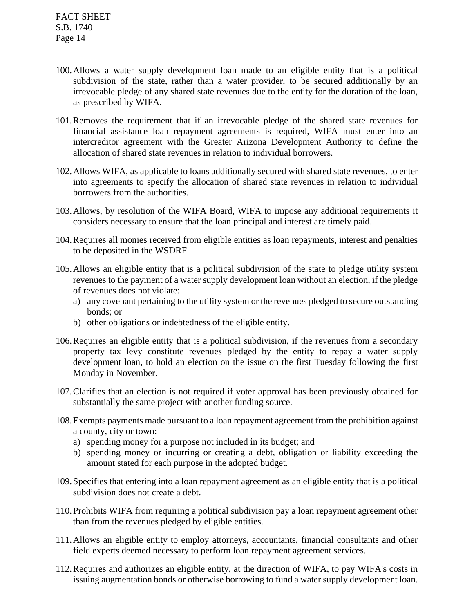- 100.Allows a water supply development loan made to an eligible entity that is a political subdivision of the state, rather than a water provider, to be secured additionally by an irrevocable pledge of any shared state revenues due to the entity for the duration of the loan, as prescribed by WIFA.
- 101.Removes the requirement that if an irrevocable pledge of the shared state revenues for financial assistance loan repayment agreements is required, WIFA must enter into an intercreditor agreement with the Greater Arizona Development Authority to define the allocation of shared state revenues in relation to individual borrowers.
- 102.Allows WIFA, as applicable to loans additionally secured with shared state revenues, to enter into agreements to specify the allocation of shared state revenues in relation to individual borrowers from the authorities.
- 103.Allows, by resolution of the WIFA Board, WIFA to impose any additional requirements it considers necessary to ensure that the loan principal and interest are timely paid.
- 104.Requires all monies received from eligible entities as loan repayments, interest and penalties to be deposited in the WSDRF.
- 105.Allows an eligible entity that is a political subdivision of the state to pledge utility system revenues to the payment of a water supply development loan without an election, if the pledge of revenues does not violate:
	- a) any covenant pertaining to the utility system or the revenues pledged to secure outstanding bonds; or
	- b) other obligations or indebtedness of the eligible entity.
- 106.Requires an eligible entity that is a political subdivision, if the revenues from a secondary property tax levy constitute revenues pledged by the entity to repay a water supply development loan, to hold an election on the issue on the first Tuesday following the first Monday in November.
- 107.Clarifies that an election is not required if voter approval has been previously obtained for substantially the same project with another funding source.
- 108.Exempts payments made pursuant to a loan repayment agreement from the prohibition against a county, city or town:
	- a) spending money for a purpose not included in its budget; and
	- b) spending money or incurring or creating a debt, obligation or liability exceeding the amount stated for each purpose in the adopted budget.
- 109.Specifies that entering into a loan repayment agreement as an eligible entity that is a political subdivision does not create a debt.
- 110.Prohibits WIFA from requiring a political subdivision pay a loan repayment agreement other than from the revenues pledged by eligible entities.
- 111.Allows an eligible entity to employ attorneys, accountants, financial consultants and other field experts deemed necessary to perform loan repayment agreement services.
- 112.Requires and authorizes an eligible entity, at the direction of WIFA, to pay WIFA's costs in issuing augmentation bonds or otherwise borrowing to fund a water supply development loan.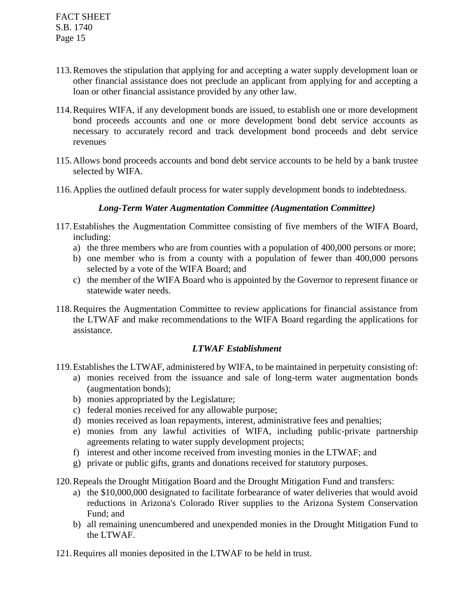- 113.Removes the stipulation that applying for and accepting a water supply development loan or other financial assistance does not preclude an applicant from applying for and accepting a loan or other financial assistance provided by any other law.
- 114.Requires WIFA, if any development bonds are issued, to establish one or more development bond proceeds accounts and one or more development bond debt service accounts as necessary to accurately record and track development bond proceeds and debt service revenues
- 115.Allows bond proceeds accounts and bond debt service accounts to be held by a bank trustee selected by WIFA.
- 116.Applies the outlined default process for water supply development bonds to indebtedness.

### *Long-Term Water Augmentation Committee (Augmentation Committee)*

- 117.Establishes the Augmentation Committee consisting of five members of the WIFA Board, including:
	- a) the three members who are from counties with a population of 400,000 persons or more;
	- b) one member who is from a county with a population of fewer than 400,000 persons selected by a vote of the WIFA Board; and
	- c) the member of the WIFA Board who is appointed by the Governor to represent finance or statewide water needs.
- 118.Requires the Augmentation Committee to review applications for financial assistance from the LTWAF and make recommendations to the WIFA Board regarding the applications for assistance.

# *LTWAF Establishment*

- 119.Establishes the LTWAF, administered by WIFA, to be maintained in perpetuity consisting of:
	- a) monies received from the issuance and sale of long-term water augmentation bonds (augmentation bonds);
	- b) monies appropriated by the Legislature;
	- c) federal monies received for any allowable purpose;
	- d) monies received as loan repayments, interest, administrative fees and penalties;
	- e) monies from any lawful activities of WIFA, including public-private partnership agreements relating to water supply development projects;
	- f) interest and other income received from investing monies in the LTWAF; and
	- g) private or public gifts, grants and donations received for statutory purposes.
- 120.Repeals the Drought Mitigation Board and the Drought Mitigation Fund and transfers:
	- a) the \$10,000,000 designated to facilitate forbearance of water deliveries that would avoid reductions in Arizona's Colorado River supplies to the Arizona System Conservation Fund; and
	- b) all remaining unencumbered and unexpended monies in the Drought Mitigation Fund to the LTWAF.
- 121.Requires all monies deposited in the LTWAF to be held in trust.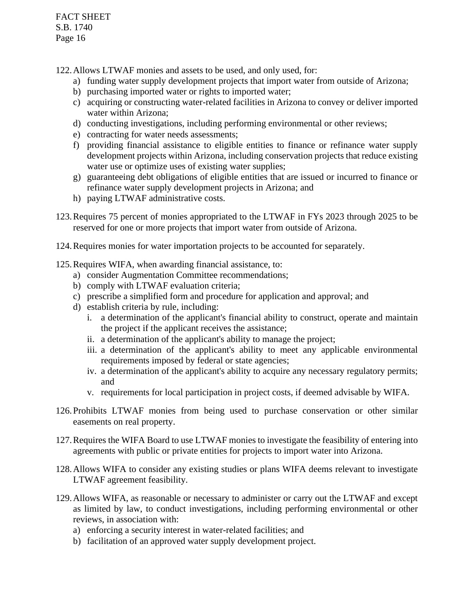122.Allows LTWAF monies and assets to be used, and only used, for:

- a) funding water supply development projects that import water from outside of Arizona;
- b) purchasing imported water or rights to imported water;
- c) acquiring or constructing water-related facilities in Arizona to convey or deliver imported water within Arizona;
- d) conducting investigations, including performing environmental or other reviews;
- e) contracting for water needs assessments;
- f) providing financial assistance to eligible entities to finance or refinance water supply development projects within Arizona, including conservation projects that reduce existing water use or optimize uses of existing water supplies;
- g) guaranteeing debt obligations of eligible entities that are issued or incurred to finance or refinance water supply development projects in Arizona; and
- h) paying LTWAF administrative costs.
- 123.Requires 75 percent of monies appropriated to the LTWAF in FYs 2023 through 2025 to be reserved for one or more projects that import water from outside of Arizona.
- 124.Requires monies for water importation projects to be accounted for separately.
- 125.Requires WIFA, when awarding financial assistance, to:
	- a) consider Augmentation Committee recommendations;
	- b) comply with LTWAF evaluation criteria;
	- c) prescribe a simplified form and procedure for application and approval; and
	- d) establish criteria by rule, including:
		- i. a determination of the applicant's financial ability to construct, operate and maintain the project if the applicant receives the assistance;
		- ii. a determination of the applicant's ability to manage the project;
		- iii. a determination of the applicant's ability to meet any applicable environmental requirements imposed by federal or state agencies;
		- iv. a determination of the applicant's ability to acquire any necessary regulatory permits; and
		- v. requirements for local participation in project costs, if deemed advisable by WIFA.
- 126.Prohibits LTWAF monies from being used to purchase conservation or other similar easements on real property.
- 127.Requires the WIFA Board to use LTWAF monies to investigate the feasibility of entering into agreements with public or private entities for projects to import water into Arizona.
- 128.Allows WIFA to consider any existing studies or plans WIFA deems relevant to investigate LTWAF agreement feasibility.
- 129.Allows WIFA, as reasonable or necessary to administer or carry out the LTWAF and except as limited by law, to conduct investigations, including performing environmental or other reviews, in association with:
	- a) enforcing a security interest in water-related facilities; and
	- b) facilitation of an approved water supply development project.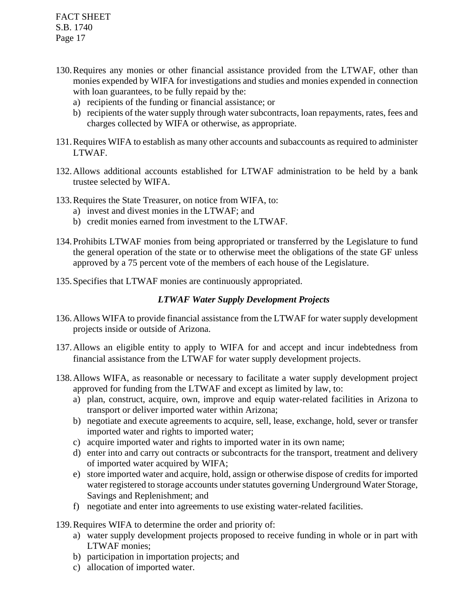- 130.Requires any monies or other financial assistance provided from the LTWAF, other than monies expended by WIFA for investigations and studies and monies expended in connection with loan guarantees, to be fully repaid by the:
	- a) recipients of the funding or financial assistance; or
	- b) recipients of the water supply through water subcontracts, loan repayments, rates, fees and charges collected by WIFA or otherwise, as appropriate.
- 131.Requires WIFA to establish as many other accounts and subaccounts as required to administer LTWAF.
- 132.Allows additional accounts established for LTWAF administration to be held by a bank trustee selected by WIFA.
- 133.Requires the State Treasurer, on notice from WIFA, to:
	- a) invest and divest monies in the LTWAF; and
	- b) credit monies earned from investment to the LTWAF.
- 134.Prohibits LTWAF monies from being appropriated or transferred by the Legislature to fund the general operation of the state or to otherwise meet the obligations of the state GF unless approved by a 75 percent vote of the members of each house of the Legislature.
- 135.Specifies that LTWAF monies are continuously appropriated.

### *LTWAF Water Supply Development Projects*

- 136.Allows WIFA to provide financial assistance from the LTWAF for water supply development projects inside or outside of Arizona.
- 137.Allows an eligible entity to apply to WIFA for and accept and incur indebtedness from financial assistance from the LTWAF for water supply development projects.
- 138.Allows WIFA, as reasonable or necessary to facilitate a water supply development project approved for funding from the LTWAF and except as limited by law, to:
	- a) plan, construct, acquire, own, improve and equip water-related facilities in Arizona to transport or deliver imported water within Arizona;
	- b) negotiate and execute agreements to acquire, sell, lease, exchange, hold, sever or transfer imported water and rights to imported water;
	- c) acquire imported water and rights to imported water in its own name;
	- d) enter into and carry out contracts or subcontracts for the transport, treatment and delivery of imported water acquired by WIFA;
	- e) store imported water and acquire, hold, assign or otherwise dispose of credits for imported water registered to storage accounts under statutes governing Underground Water Storage, Savings and Replenishment; and
	- f) negotiate and enter into agreements to use existing water-related facilities.
- 139.Requires WIFA to determine the order and priority of:
	- a) water supply development projects proposed to receive funding in whole or in part with LTWAF monies;
	- b) participation in importation projects; and
	- c) allocation of imported water.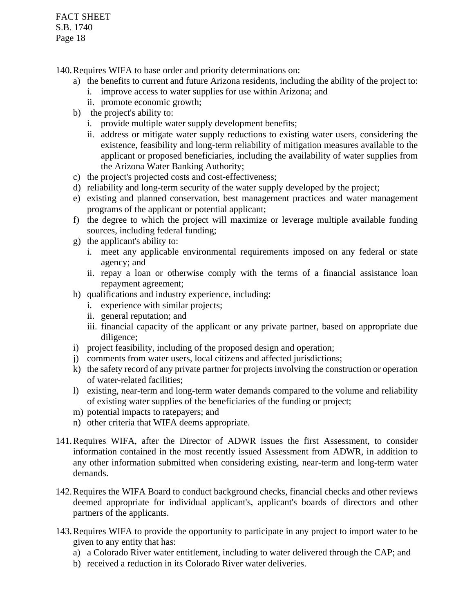140.Requires WIFA to base order and priority determinations on:

- a) the benefits to current and future Arizona residents, including the ability of the project to:
	- i. improve access to water supplies for use within Arizona; and
	- ii. promote economic growth;
- b) the project's ability to:
	- i. provide multiple water supply development benefits;
	- ii. address or mitigate water supply reductions to existing water users, considering the existence, feasibility and long-term reliability of mitigation measures available to the applicant or proposed beneficiaries, including the availability of water supplies from the Arizona Water Banking Authority;
- c) the project's projected costs and cost-effectiveness;
- d) reliability and long-term security of the water supply developed by the project;
- e) existing and planned conservation, best management practices and water management programs of the applicant or potential applicant;
- f) the degree to which the project will maximize or leverage multiple available funding sources, including federal funding;
- g) the applicant's ability to:
	- i. meet any applicable environmental requirements imposed on any federal or state agency; and
	- ii. repay a loan or otherwise comply with the terms of a financial assistance loan repayment agreement;
- h) qualifications and industry experience, including:
	- i. experience with similar projects;
	- ii. general reputation; and
	- iii. financial capacity of the applicant or any private partner, based on appropriate due diligence;
- i) project feasibility, including of the proposed design and operation;
- j) comments from water users, local citizens and affected jurisdictions;
- k) the safety record of any private partner for projects involving the construction or operation of water-related facilities;
- l) existing, near-term and long-term water demands compared to the volume and reliability of existing water supplies of the beneficiaries of the funding or project;
- m) potential impacts to ratepayers; and
- n) other criteria that WIFA deems appropriate.
- 141.Requires WIFA, after the Director of ADWR issues the first Assessment, to consider information contained in the most recently issued Assessment from ADWR, in addition to any other information submitted when considering existing, near-term and long-term water demands.
- 142.Requires the WIFA Board to conduct background checks, financial checks and other reviews deemed appropriate for individual applicant's, applicant's boards of directors and other partners of the applicants.
- 143.Requires WIFA to provide the opportunity to participate in any project to import water to be given to any entity that has:
	- a) a Colorado River water entitlement, including to water delivered through the CAP; and
	- b) received a reduction in its Colorado River water deliveries.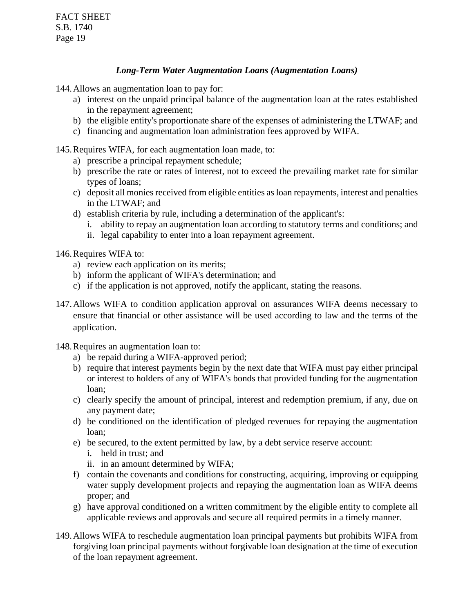## *Long-Term Water Augmentation Loans (Augmentation Loans)*

144.Allows an augmentation loan to pay for:

- a) interest on the unpaid principal balance of the augmentation loan at the rates established in the repayment agreement;
- b) the eligible entity's proportionate share of the expenses of administering the LTWAF; and
- c) financing and augmentation loan administration fees approved by WIFA.

145.Requires WIFA, for each augmentation loan made, to:

- a) prescribe a principal repayment schedule;
- b) prescribe the rate or rates of interest, not to exceed the prevailing market rate for similar types of loans;
- c) deposit all monies received from eligible entities as loan repayments, interest and penalties in the LTWAF; and
- d) establish criteria by rule, including a determination of the applicant's:
	- i. ability to repay an augmentation loan according to statutory terms and conditions; and
	- ii. legal capability to enter into a loan repayment agreement.

146.Requires WIFA to:

- a) review each application on its merits;
- b) inform the applicant of WIFA's determination; and
- c) if the application is not approved, notify the applicant, stating the reasons.
- 147.Allows WIFA to condition application approval on assurances WIFA deems necessary to ensure that financial or other assistance will be used according to law and the terms of the application.
- 148.Requires an augmentation loan to:
	- a) be repaid during a WIFA-approved period;
	- b) require that interest payments begin by the next date that WIFA must pay either principal or interest to holders of any of WIFA's bonds that provided funding for the augmentation loan;
	- c) clearly specify the amount of principal, interest and redemption premium, if any, due on any payment date;
	- d) be conditioned on the identification of pledged revenues for repaying the augmentation loan;
	- e) be secured, to the extent permitted by law, by a debt service reserve account:
		- i. held in trust; and
		- ii. in an amount determined by WIFA;
	- f) contain the covenants and conditions for constructing, acquiring, improving or equipping water supply development projects and repaying the augmentation loan as WIFA deems proper; and
	- g) have approval conditioned on a written commitment by the eligible entity to complete all applicable reviews and approvals and secure all required permits in a timely manner.
- 149.Allows WIFA to reschedule augmentation loan principal payments but prohibits WIFA from forgiving loan principal payments without forgivable loan designation at the time of execution of the loan repayment agreement.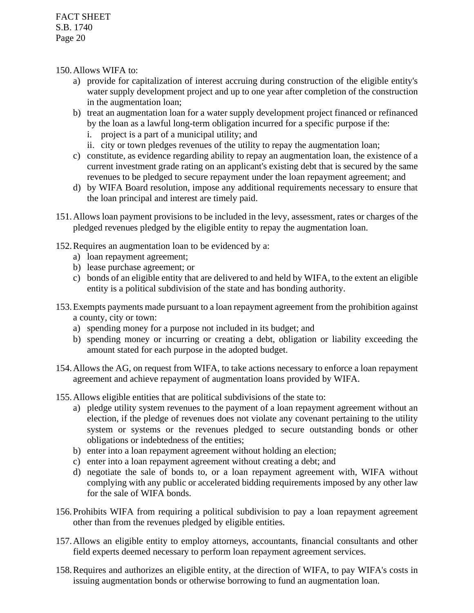- 150.Allows WIFA to:
	- a) provide for capitalization of interest accruing during construction of the eligible entity's water supply development project and up to one year after completion of the construction in the augmentation loan;
	- b) treat an augmentation loan for a water supply development project financed or refinanced by the loan as a lawful long-term obligation incurred for a specific purpose if the:
		- i. project is a part of a municipal utility; and
		- ii. city or town pledges revenues of the utility to repay the augmentation loan;
	- c) constitute, as evidence regarding ability to repay an augmentation loan, the existence of a current investment grade rating on an applicant's existing debt that is secured by the same revenues to be pledged to secure repayment under the loan repayment agreement; and
	- d) by WIFA Board resolution, impose any additional requirements necessary to ensure that the loan principal and interest are timely paid.
- 151.Allows loan payment provisions to be included in the levy, assessment, rates or charges of the pledged revenues pledged by the eligible entity to repay the augmentation loan.
- 152.Requires an augmentation loan to be evidenced by a:
	- a) loan repayment agreement;
	- b) lease purchase agreement; or
	- c) bonds of an eligible entity that are delivered to and held by WIFA, to the extent an eligible entity is a political subdivision of the state and has bonding authority.
- 153.Exempts payments made pursuant to a loan repayment agreement from the prohibition against a county, city or town:
	- a) spending money for a purpose not included in its budget; and
	- b) spending money or incurring or creating a debt, obligation or liability exceeding the amount stated for each purpose in the adopted budget.
- 154.Allows the AG, on request from WIFA, to take actions necessary to enforce a loan repayment agreement and achieve repayment of augmentation loans provided by WIFA.
- 155.Allows eligible entities that are political subdivisions of the state to:
	- a) pledge utility system revenues to the payment of a loan repayment agreement without an election, if the pledge of revenues does not violate any covenant pertaining to the utility system or systems or the revenues pledged to secure outstanding bonds or other obligations or indebtedness of the entities;
	- b) enter into a loan repayment agreement without holding an election;
	- c) enter into a loan repayment agreement without creating a debt; and
	- d) negotiate the sale of bonds to, or a loan repayment agreement with, WIFA without complying with any public or accelerated bidding requirements imposed by any other law for the sale of WIFA bonds.
- 156.Prohibits WIFA from requiring a political subdivision to pay a loan repayment agreement other than from the revenues pledged by eligible entities.
- 157.Allows an eligible entity to employ attorneys, accountants, financial consultants and other field experts deemed necessary to perform loan repayment agreement services.
- 158.Requires and authorizes an eligible entity, at the direction of WIFA, to pay WIFA's costs in issuing augmentation bonds or otherwise borrowing to fund an augmentation loan.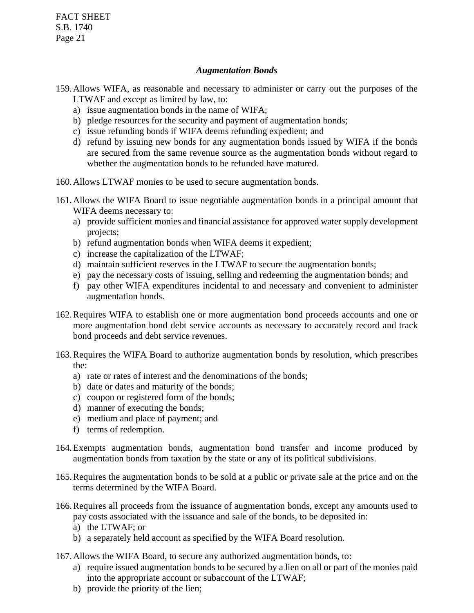#### *Augmentation Bonds*

- 159.Allows WIFA, as reasonable and necessary to administer or carry out the purposes of the LTWAF and except as limited by law, to:
	- a) issue augmentation bonds in the name of WIFA;
	- b) pledge resources for the security and payment of augmentation bonds;
	- c) issue refunding bonds if WIFA deems refunding expedient; and
	- d) refund by issuing new bonds for any augmentation bonds issued by WIFA if the bonds are secured from the same revenue source as the augmentation bonds without regard to whether the augmentation bonds to be refunded have matured.
- 160.Allows LTWAF monies to be used to secure augmentation bonds.
- 161.Allows the WIFA Board to issue negotiable augmentation bonds in a principal amount that WIFA deems necessary to:
	- a) provide sufficient monies and financial assistance for approved water supply development projects;
	- b) refund augmentation bonds when WIFA deems it expedient;
	- c) increase the capitalization of the LTWAF;
	- d) maintain sufficient reserves in the LTWAF to secure the augmentation bonds;
	- e) pay the necessary costs of issuing, selling and redeeming the augmentation bonds; and
	- f) pay other WIFA expenditures incidental to and necessary and convenient to administer augmentation bonds.
- 162.Requires WIFA to establish one or more augmentation bond proceeds accounts and one or more augmentation bond debt service accounts as necessary to accurately record and track bond proceeds and debt service revenues.
- 163.Requires the WIFA Board to authorize augmentation bonds by resolution, which prescribes the:
	- a) rate or rates of interest and the denominations of the bonds;
	- b) date or dates and maturity of the bonds;
	- c) coupon or registered form of the bonds;
	- d) manner of executing the bonds;
	- e) medium and place of payment; and
	- f) terms of redemption.
- 164.Exempts augmentation bonds, augmentation bond transfer and income produced by augmentation bonds from taxation by the state or any of its political subdivisions.
- 165.Requires the augmentation bonds to be sold at a public or private sale at the price and on the terms determined by the WIFA Board.
- 166.Requires all proceeds from the issuance of augmentation bonds, except any amounts used to pay costs associated with the issuance and sale of the bonds, to be deposited in:
	- a) the LTWAF; or
	- b) a separately held account as specified by the WIFA Board resolution.
- 167.Allows the WIFA Board, to secure any authorized augmentation bonds, to:
	- a) require issued augmentation bonds to be secured by a lien on all or part of the monies paid into the appropriate account or subaccount of the LTWAF;
	- b) provide the priority of the lien;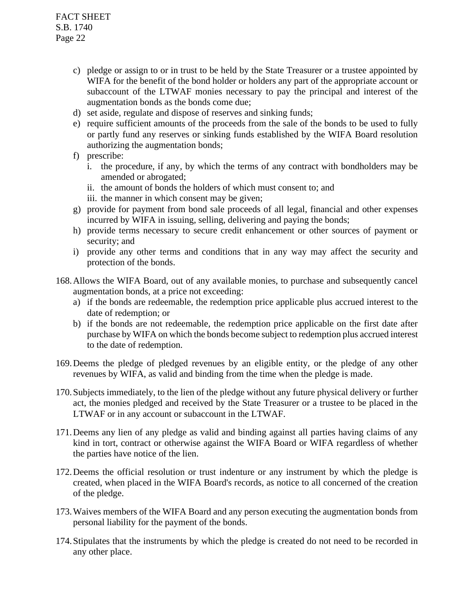- c) pledge or assign to or in trust to be held by the State Treasurer or a trustee appointed by WIFA for the benefit of the bond holder or holders any part of the appropriate account or subaccount of the LTWAF monies necessary to pay the principal and interest of the augmentation bonds as the bonds come due;
- d) set aside, regulate and dispose of reserves and sinking funds;
- e) require sufficient amounts of the proceeds from the sale of the bonds to be used to fully or partly fund any reserves or sinking funds established by the WIFA Board resolution authorizing the augmentation bonds;
- f) prescribe:
	- i. the procedure, if any, by which the terms of any contract with bondholders may be amended or abrogated;
	- ii. the amount of bonds the holders of which must consent to; and
	- iii. the manner in which consent may be given;
- g) provide for payment from bond sale proceeds of all legal, financial and other expenses incurred by WIFA in issuing, selling, delivering and paying the bonds;
- h) provide terms necessary to secure credit enhancement or other sources of payment or security; and
- i) provide any other terms and conditions that in any way may affect the security and protection of the bonds.
- 168.Allows the WIFA Board, out of any available monies, to purchase and subsequently cancel augmentation bonds, at a price not exceeding:
	- a) if the bonds are redeemable, the redemption price applicable plus accrued interest to the date of redemption; or
	- b) if the bonds are not redeemable, the redemption price applicable on the first date after purchase by WIFA on which the bonds become subject to redemption plus accrued interest to the date of redemption.
- 169.Deems the pledge of pledged revenues by an eligible entity, or the pledge of any other revenues by WIFA, as valid and binding from the time when the pledge is made.
- 170.Subjects immediately, to the lien of the pledge without any future physical delivery or further act, the monies pledged and received by the State Treasurer or a trustee to be placed in the LTWAF or in any account or subaccount in the LTWAF.
- 171.Deems any lien of any pledge as valid and binding against all parties having claims of any kind in tort, contract or otherwise against the WIFA Board or WIFA regardless of whether the parties have notice of the lien.
- 172.Deems the official resolution or trust indenture or any instrument by which the pledge is created, when placed in the WIFA Board's records, as notice to all concerned of the creation of the pledge.
- 173.Waives members of the WIFA Board and any person executing the augmentation bonds from personal liability for the payment of the bonds.
- 174.Stipulates that the instruments by which the pledge is created do not need to be recorded in any other place.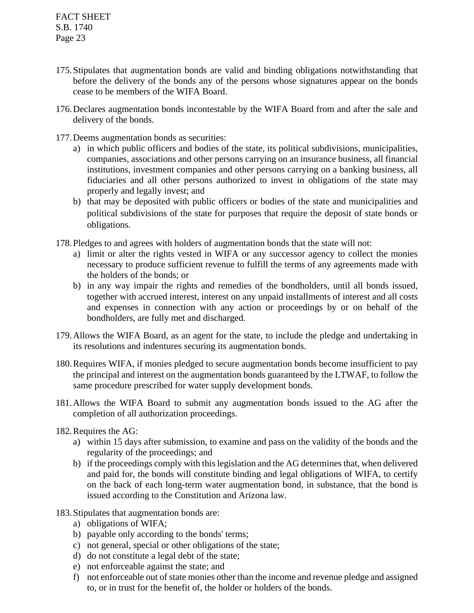- 175.Stipulates that augmentation bonds are valid and binding obligations notwithstanding that before the delivery of the bonds any of the persons whose signatures appear on the bonds cease to be members of the WIFA Board.
- 176.Declares augmentation bonds incontestable by the WIFA Board from and after the sale and delivery of the bonds.
- 177.Deems augmentation bonds as securities:
	- a) in which public officers and bodies of the state, its political subdivisions, municipalities, companies, associations and other persons carrying on an insurance business, all financial institutions, investment companies and other persons carrying on a banking business, all fiduciaries and all other persons authorized to invest in obligations of the state may properly and legally invest; and
	- b) that may be deposited with public officers or bodies of the state and municipalities and political subdivisions of the state for purposes that require the deposit of state bonds or obligations.
- 178.Pledges to and agrees with holders of augmentation bonds that the state will not:
	- a) limit or alter the rights vested in WIFA or any successor agency to collect the monies necessary to produce sufficient revenue to fulfill the terms of any agreements made with the holders of the bonds; or
	- b) in any way impair the rights and remedies of the bondholders, until all bonds issued, together with accrued interest, interest on any unpaid installments of interest and all costs and expenses in connection with any action or proceedings by or on behalf of the bondholders, are fully met and discharged.
- 179.Allows the WIFA Board, as an agent for the state, to include the pledge and undertaking in its resolutions and indentures securing its augmentation bonds.
- 180.Requires WIFA, if monies pledged to secure augmentation bonds become insufficient to pay the principal and interest on the augmentation bonds guaranteed by the LTWAF, to follow the same procedure prescribed for water supply development bonds.
- 181.Allows the WIFA Board to submit any augmentation bonds issued to the AG after the completion of all authorization proceedings.
- 182.Requires the AG:
	- a) within 15 days after submission, to examine and pass on the validity of the bonds and the regularity of the proceedings; and
	- b) if the proceedings comply with this legislation and the AG determines that, when delivered and paid for, the bonds will constitute binding and legal obligations of WIFA, to certify on the back of each long-term water augmentation bond, in substance, that the bond is issued according to the Constitution and Arizona law.
- 183.Stipulates that augmentation bonds are:
	- a) obligations of WIFA;
	- b) payable only according to the bonds' terms;
	- c) not general, special or other obligations of the state;
	- d) do not constitute a legal debt of the state;
	- e) not enforceable against the state; and
	- f) not enforceable out of state monies other than the income and revenue pledge and assigned to, or in trust for the benefit of, the holder or holders of the bonds.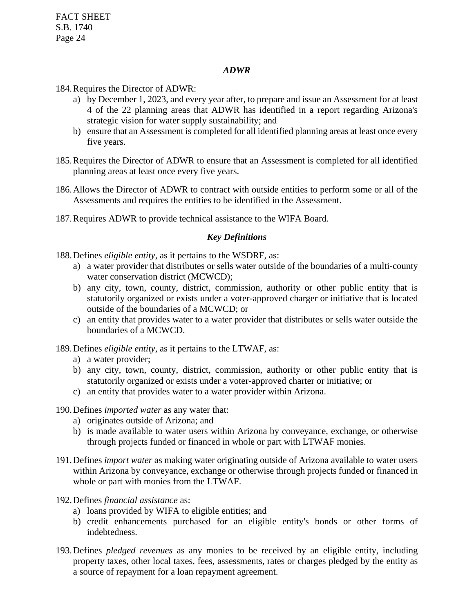#### *ADWR*

184.Requires the Director of ADWR:

- a) by December 1, 2023, and every year after, to prepare and issue an Assessment for at least 4 of the 22 planning areas that ADWR has identified in a report regarding Arizona's strategic vision for water supply sustainability; and
- b) ensure that an Assessment is completed for all identified planning areas at least once every five years.
- 185.Requires the Director of ADWR to ensure that an Assessment is completed for all identified planning areas at least once every five years.
- 186.Allows the Director of ADWR to contract with outside entities to perform some or all of the Assessments and requires the entities to be identified in the Assessment.
- 187.Requires ADWR to provide technical assistance to the WIFA Board.

#### *Key Definitions*

188.Defines *eligible entity*, as it pertains to the WSDRF, as:

- a) a water provider that distributes or sells water outside of the boundaries of a multi-county water conservation district (MCWCD);
- b) any city, town, county, district, commission, authority or other public entity that is statutorily organized or exists under a voter-approved charger or initiative that is located outside of the boundaries of a MCWCD; or
- c) an entity that provides water to a water provider that distributes or sells water outside the boundaries of a MCWCD.

189.Defines *eligible entity*, as it pertains to the LTWAF, as:

- a) a water provider;
- b) any city, town, county, district, commission, authority or other public entity that is statutorily organized or exists under a voter-approved charter or initiative; or
- c) an entity that provides water to a water provider within Arizona.
- 190.Defines *imported water* as any water that:
	- a) originates outside of Arizona; and
	- b) is made available to water users within Arizona by conveyance, exchange, or otherwise through projects funded or financed in whole or part with LTWAF monies.
- 191.Defines *import water* as making water originating outside of Arizona available to water users within Arizona by conveyance, exchange or otherwise through projects funded or financed in whole or part with monies from the LTWAF.
- 192.Defines *financial assistance* as:
	- a) loans provided by WIFA to eligible entities; and
	- b) credit enhancements purchased for an eligible entity's bonds or other forms of indebtedness.
- 193.Defines *pledged revenues* as any monies to be received by an eligible entity, including property taxes, other local taxes, fees, assessments, rates or charges pledged by the entity as a source of repayment for a loan repayment agreement.